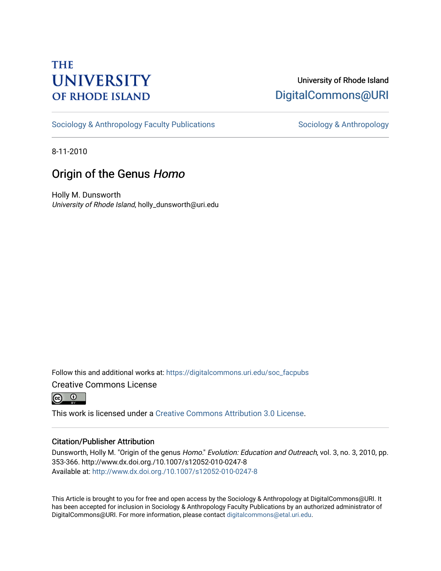# **THE UNIVERSITY OF RHODE ISLAND**

# University of Rhode Island [DigitalCommons@URI](https://digitalcommons.uri.edu/)

[Sociology & Anthropology Faculty Publications](https://digitalcommons.uri.edu/soc_facpubs) [Sociology & Anthropology](https://digitalcommons.uri.edu/soc) & Anthropology

8-11-2010

# Origin of the Genus Homo

Holly M. Dunsworth University of Rhode Island, holly\_dunsworth@uri.edu

Follow this and additional works at: [https://digitalcommons.uri.edu/soc\\_facpubs](https://digitalcommons.uri.edu/soc_facpubs?utm_source=digitalcommons.uri.edu%2Fsoc_facpubs%2F1&utm_medium=PDF&utm_campaign=PDFCoverPages)  Creative Commons License



This work is licensed under a [Creative Commons Attribution 3.0 License](https://creativecommons.org/licenses/by/3.0/).

### Citation/Publisher Attribution

Dunsworth, Holly M. "Origin of the genus Homo." Evolution: Education and Outreach, vol. 3, no. 3, 2010, pp. 353-366. http://www.dx.doi.org./10.1007/s12052-010-0247-8 Available at:<http://www.dx.doi.org./10.1007/s12052-010-0247-8>

This Article is brought to you for free and open access by the Sociology & Anthropology at DigitalCommons@URI. It has been accepted for inclusion in Sociology & Anthropology Faculty Publications by an authorized administrator of DigitalCommons@URI. For more information, please contact [digitalcommons@etal.uri.edu.](mailto:digitalcommons@etal.uri.edu)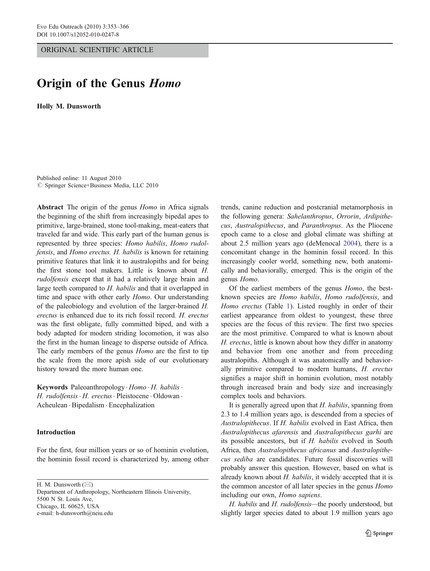ORIGINAL SCIENTIFIC ARTICLE

## Origin of the Genus Homo

Holly M. Dunsworth

Published online: 11 August 2010  $©$  Springer Science+Business Media, LLC 2010

Abstract The origin of the genus *Homo* in Africa signals the beginning of the shift from increasingly bipedal apes to primitive, large-brained, stone tool-making, meat-eaters that traveled far and wide. This early part of the human genus is represented by three species: Homo habilis, Homo rudolfensis, and Homo erectus. H. habilis is known for retaining primitive features that link it to australopiths and for being the first stone tool makers. Little is known about H. rudolfensis except that it had a relatively large brain and large teeth compared to H. habilis and that it overlapped in time and space with other early *Homo*. Our understanding of the paleobiology and evolution of the larger-brained H. erectus is enhanced due to its rich fossil record. H. erectus was the first obligate, fully committed biped, and with a body adapted for modern striding locomotion, it was also the first in the human lineage to disperse outside of Africa. The early members of the genus *Homo* are the first to tip the scale from the more apish side of our evolutionary history toward the more human one.

Keywords Paleoanthropology  $Homo H.$  habilis. H. rudolfensis · H. erectus · Pleistocene · Oldowan · Acheulean . Bipedalism . Encephalization

### Introduction

For the first, four million years or so of hominin evolution, the hominin fossil record is characterized by, among other

H. M. Dunsworth  $(\boxtimes)$ 

Department of Anthropology, Northeastern Illinois University, 5500 N St. Louis Ave, Chicago, IL 60625, USA e-mail: h-dunsworth@neiu.edu

trends, canine reduction and postcranial metamorphosis in the following genera: Sahelanthropus, Orrorin, Ardipithecus, Australopithecus, and Paranthropus. As the Pliocene epoch came to a close and global climate was shifting at about 2.5 million years ago (deMenocal [2004\)](#page-12-0), there is a concomitant change in the hominin fossil record. In this increasingly cooler world, something new, both anatomically and behaviorally, emerged. This is the origin of the genus Homo.

Of the earliest members of the genus Homo, the bestknown species are Homo habilis, Homo rudolfensis, and Homo erectus (Table [1\)](#page-2-0). Listed roughly in order of their earliest appearance from oldest to youngest, these three species are the focus of this review. The first two species are the most primitive. Compared to what is known about H. erectus, little is known about how they differ in anatomy and behavior from one another and from preceding australopiths. Although it was anatomically and behaviorally primitive compared to modern humans, H. erectus signifies a major shift in hominin evolution, most notably through increased brain and body size and increasingly complex tools and behaviors.

It is generally agreed upon that  $H$ . habilis, spanning from 2.3 to 1.4 million years ago, is descended from a species of Australopithecus. If H. habilis evolved in East Africa, then Australopithecus afarensis and Australopithecus garhi are its possible ancestors, but if H. habilis evolved in South Africa, then Australopithecus africanus and Australopithecus sediba are candidates. Future fossil discoveries will probably answer this question. However, based on what is already known about H. habilis, it widely accepted that it is the common ancestor of all later species in the genus Homo including our own, Homo sapiens.

H. habilis and H. rudolfensis—the poorly understood, but slightly larger species dated to about 1.9 million years ago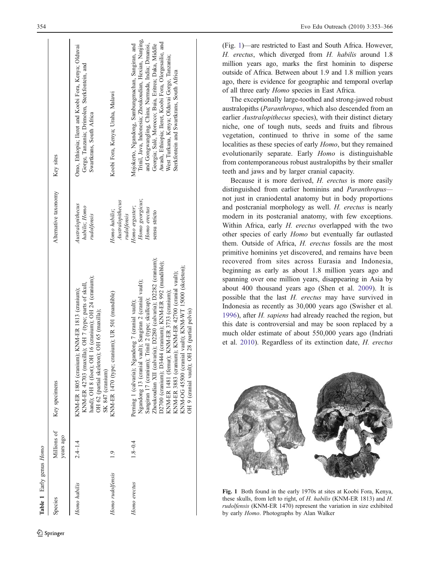<span id="page-2-0"></span>

| Table 1 Early genus Homo |                          |                                                                                                                                                                                                                                                                                                                                                                                                                                                                                                                      |                                                                    |                                                                                                                                                                                                                                                                                                                                                                                 |
|--------------------------|--------------------------|----------------------------------------------------------------------------------------------------------------------------------------------------------------------------------------------------------------------------------------------------------------------------------------------------------------------------------------------------------------------------------------------------------------------------------------------------------------------------------------------------------------------|--------------------------------------------------------------------|---------------------------------------------------------------------------------------------------------------------------------------------------------------------------------------------------------------------------------------------------------------------------------------------------------------------------------------------------------------------------------|
| Species                  | Millions of<br>years ago | Key specimens                                                                                                                                                                                                                                                                                                                                                                                                                                                                                                        | Alternative taxonomy                                               | Key sites                                                                                                                                                                                                                                                                                                                                                                       |
| Homo habilis             | $2.4 - 1.4$              | hand); OH 8 (foot); OH 16 (cranium); OH 24 (cranium);<br>KNM-ER 42703 (maxilla); OH 7 (type; parts of skull,<br>KNM-ER 1805 (cranium); KNM-ER 1813 (cranium);<br>OH 62 (partial skeleton); OH 65 (maxilla);<br>SK 847 (cranium)                                                                                                                                                                                                                                                                                      | Australopithecus<br>habilis; Homo<br>rudolfensis                   | Omo, Ethiopia; Ileret and Koobi Fora, Kenya; Olduvai<br>Gorge, Tanzania; Drimolen, Sterkfontein, and<br>Swartkrans, South Africa                                                                                                                                                                                                                                                |
| Homo rudolfensis         |                          | cranium); UR 501 (mandible)<br>KNM-ER 1470 (type;                                                                                                                                                                                                                                                                                                                                                                                                                                                                    | Australopithecus<br>Homo habilis;<br>rudolfensis                   | Koobi Fora, Kenya; Uraha, Malawi                                                                                                                                                                                                                                                                                                                                                |
| Homo erectus             | $1.8 - 0.4$              | Zhoukoudian XII (calvaria); D2280 (calvaria); D2282 (cranium);<br>D2700 (cranium); D3444 (cranium); KNM-ER 992 (mandible);<br>KNM-OG 45500 (cranial vault); KNM-WT 15000 (skeleton);<br>KNM-ER 3883 (cranium); KNM-ER 42700 (cranial vault);<br>Ngandong 13 (cranial vault); Sangiran 2 (cranial vault);<br>KNM-ER 1481 (femur); KNM-ER 3733 (cranium);<br>Sangiran 17 (cranium); Trinil 2 (type; skullcap);<br>Perning 1 (calvaria); Ngandong 7 (cranial vault);<br>OH 28 (partial pelvis)<br>OH 9 (cranial vault); | Homo georgicus;<br>Homo ergaster;<br>Homo erectus<br>sensu stricto | Trinil, Java, Indonesia; Zhoukoudian, Hexian, Nanjing,<br>Awash, Ethiopia; Ileret, Koobi Fora, Olorgesailie, and<br>Mojokerto, Ngandong, Sambungmachan, Sangiran, and<br>and Gongwangling, China; Narmada, India; Dmanisi,<br>Georgia; Salé, Morocco; Buia, Eritrea; Daka, Middle<br>West Turkana, Kenya; Olduvai Gorge, Tanzania;<br>Sterkfontein and Swartkrans, South Africa |



The exceptionally large-toothed and strong-jawed robust australopiths (Paranthropus, which also descended from an earlier Australopithecus species), with their distinct dietary niche, one of tough nuts, seeds and fruits and fibrous vegetation, continued to thrive in some of the same localities as these species of early Homo, but they remained evolutionarily separate. Early Homo is distinguishable from contemporaneous robust australopiths by their smaller teeth and jaws and by larger cranial capacity.

(Fig. 1 ) —are restricted to East and South Africa. However, H. erectus, which diverged from H. habilis around 1.8 million years ago, marks the first hominin to disperse

Because it is more derived, H. erectus is more easily distinguished from earlier hominins and Paranthropus not just in craniodental anatomy but in body proportions and postcranial morphology as well. H. erectus is nearly modern in its postcranial anatomy, with few exceptions. Within Africa, early *H. erectus* overlapped with the two other species of early Homo but eventually far outlasted them. Outside of Africa, H. erectus fossils are the most primitive hominins yet discovered, and remains have been recovered from sites across Eurasia and Indonesia, beginning as early as about 1.8 million years ago and spanning over one million years, disappearing in Asia by about 400 thousand years ago (Shen et al. [2009](#page-14-0)). It is possible that the last H. erectus may have survived in Indonesia as recently as 30,000 years ago (Swisher et al. [1996](#page-14-0)), after H. sapiens had already reached the region, but this date is controversial and may be soon replaced by a much older estimate of about 550,000 years ago (Indriati et al. [2010\)](#page-13-0). Regardless of its extinction date, H. erectus



Fig. 1 Both found in the early 1970s at sites at Koobi Fora, Kenya, these skulls, from left to right, of H. habilis (KNM-ER 1813) and H. rudolfensis (KNM-ER 1470) represent the variation in size exhibited by early Homo. Photographs by Alan Walker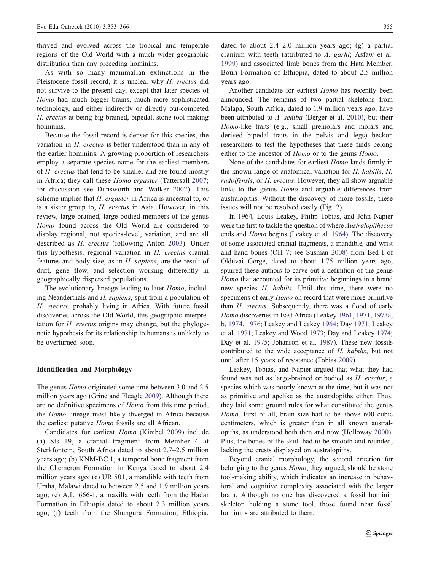thrived and evolved across the tropical and temperate regions of the Old World with a much wider geographic distribution than any preceding hominins.

As with so many mammalian extinctions in the Pleistocene fossil record, it is unclear why H. erectus did not survive to the present day, except that later species of Homo had much bigger brains, much more sophisticated technology, and either indirectly or directly out-competed H. erectus at being big-brained, bipedal, stone tool-making hominins.

Because the fossil record is denser for this species, the variation in H. erectus is better understood than in any of the earlier hominins. A growing proportion of researchers employ a separate species name for the earliest members of H. erectus that tend to be smaller and are found mostly in Africa; they call these Homo ergaster (Tattersall [2007](#page-14-0); for discussion see Dunsworth and Walker [2002\)](#page-12-0). This scheme implies that *H. ergaster* in Africa is ancestral to, or is a sister group to, H. erectus in Asia. However, in this review, large-brained, large-bodied members of the genus Homo found across the Old World are considered to display regional, not species-level, variation, and are all described as H. erectus (following Antón [2003](#page-11-0)). Under this hypothesis, regional variation in H. erectus cranial features and body size, as in H. sapiens, are the result of drift, gene flow, and selection working differently in geographically dispersed populations.

The evolutionary lineage leading to later Homo, including Neanderthals and H. sapiens, split from a population of H. erectus, probably living in Africa. With future fossil discoveries across the Old World, this geographic interpretation for H. erectus origins may change, but the phylogenetic hypothesis for its relationship to humans is unlikely to be overturned soon.

### Identification and Morphology

The genus *Homo* originated some time between 3.0 and 2.5 million years ago (Grine and Fleagle [2009\)](#page-12-0). Although there are no definitive specimens of Homo from this time period, the Homo lineage most likely diverged in Africa because the earliest putative Homo fossils are all African.

Candidates for earliest Homo (Kimbel [2009\)](#page-13-0) include (a) Sts 19, a cranial fragment from Member 4 at Sterkfontein, South Africa dated to about 2.7–2.5 million years ago; (b) KNM-BC 1, a temporal bone fragment from the Chemeron Formation in Kenya dated to about 2.4 million years ago; (c) UR 501, a mandible with teeth from Uraha, Malawi dated to between 2.5 and 1.9 million years ago; (e) A.L. 666-1, a maxilla with teeth from the Hadar Formation in Ethiopia dated to about 2.3 million years ago; (f) teeth from the Shungura Formation, Ethiopia, dated to about 2.4–2.0 million years ago; (g) a partial cranium with teeth (attributed to A. garhi; Asfaw et al. [1999](#page-12-0)) and associated limb bones from the Hata Member, Bouri Formation of Ethiopia, dated to about 2.5 million years ago.

Another candidate for earliest Homo has recently been announced. The remains of two partial skeletons from Malapa, South Africa, dated to 1.9 million years ago, have been attributed to A. sediba (Berger et al. [2010\)](#page-12-0), but their Homo-like traits (e.g., small premolars and molars and derived bipedal traits in the pelvis and legs) beckon researchers to test the hypotheses that these finds belong either to the ancestor of Homo or to the genus Homo.

None of the candidates for earliest Homo lands firmly in the known range of anatomical variation for H. habilis, H. rudolfensis, or H. erectus. However, they all show arguable links to the genus Homo and arguable differences from australopiths. Without the discovery of more fossils, these issues will not be resolved easily (Fig. [2](#page-4-0)).

In 1964, Louis Leakey, Philip Tobias, and John Napier were the first to tackle the question of where Australopithecus ends and Homo begins (Leakey et al. [1964\)](#page-13-0). The discovery of some associated cranial fragments, a mandible, and wrist and hand bones (OH 7; see Susman [2008\)](#page-14-0) from Bed I of Olduvai Gorge, dated to about 1.75 million years ago, spurred these authors to carve out a definition of the genus Homo that accounted for its primitive beginnings in a brand new species H. habilis. Until this time, there were no specimens of early *Homo* on record that were more primitive than H. erectus. Subsequently, there was a flood of early Homo discoveries in East Africa (Leakey [1961](#page-13-0), [1971,](#page-13-0) [1973a,](#page-13-0) [b](#page-13-0), [1974,](#page-13-0) [1976;](#page-13-0) Leakey and Leakey [1964;](#page-13-0) Day [1971](#page-12-0); Leakey et al. [1971;](#page-13-0) Leakey and Wood [1973](#page-13-0); Day and Leakey [1974;](#page-12-0) Day et al. [1975;](#page-12-0) Johanson et al. [1987](#page-13-0)). These new fossils contributed to the wide acceptance of H. habilis, but not until after 15 years of resistance (Tobias [2009\)](#page-14-0).

Leakey, Tobias, and Napier argued that what they had found was not as large-brained or bodied as H. erectus, a species which was poorly known at the time, but it was not as primitive and apelike as the australopiths either. Thus, they laid some ground rules for what constituted the genus Homo. First of all, brain size had to be above 600 cubic centimeters, which is greater than in all known australopiths, as understood both then and now (Holloway [2000\)](#page-12-0). Plus, the bones of the skull had to be smooth and rounded, lacking the crests displayed on australopiths.

Beyond cranial morphology, the second criterion for belonging to the genus Homo, they argued, should be stone tool-making ability, which indicates an increase in behavioral and cognitive complexity associated with the larger brain. Although no one has discovered a fossil hominin skeleton holding a stone tool, those found near fossil hominins are attributed to them.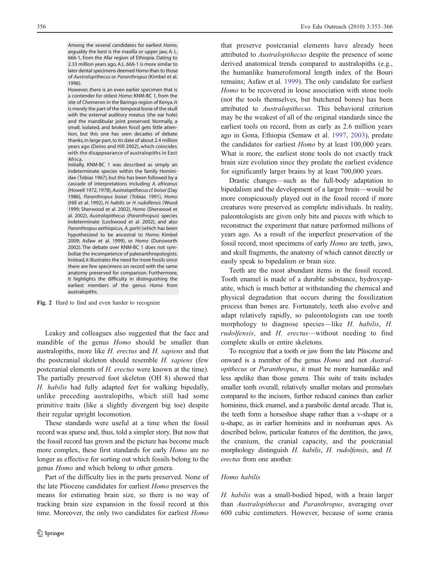<span id="page-4-0"></span>Among the several candidates for earliest *Homo*, arguably the best is the maxilla or upper jaw, A. L. 666-1, from the Afar region of Ethiopia. Dating to 2.33 million years ago, A.L. 666-1 is more similar to later dental specimens deemed *Homo* than to those of *Australopithecus* or *Paranthropus* (Kimbel et al. 1996).

However, there is an even earlier specimen that is a contender for oldest *Homo*: KNM-BC 1, from the site of Chemeron in the Baringo region of Kenya. It is merely the part of the temporal bone of the skull with the external auditory meatus (the ear hole) and the mandibular joint preserved. Normally, a small, isolated, and broken fossil gets little attention, but this one has seen decades of debate thanks, in large part, to its date of about 2.4 million years ago (Deino and Hill 2002), which coincides with the disappearance of australopiths in East Africa.

Initially, KNM-BC 1 was described as simply an indeterminate species within the family Hominidae (Tobias 1967), but this has been followed by a cascade of interpretations including *A. africanus*  (Howell 1972, 1978),*Australopithecus cf. boisei* (Day 1986), *Paranthropus boisei* (Tobias 1991), *Homo* (Hill et al. 1992), *H. habilis* or *H. rudolfensis* (Wood 1999; Sherwood et al. 2002), *Homo* (Sherwood et al. 2002), *Australopithecus* (*Paranthropus*) species indeterminate (Lockwood et al. 2002), and also *Paranthropus aethiopicus, A. garhi* (which has been hypothesized to be ancestral to *Homo*; Kimbel 2009; Asfaw et al. 1999), or *Homo* (Dunsworth 2002). The debate over KNM-BC 1 does not symbolize the incompetence of paleoanthropologists. Instead, it illustrates the need for more fossils since there are few specimens on record with the same anatomy preserved for comparison. Furthermore, it highlights the difficulty in distinguishing the earliest members of the genus *Homo* from australopiths.

Fig. 2 Hard to find and even harder to recognize

Leakey and colleagues also suggested that the face and mandible of the genus Homo should be smaller than australopiths, more like H. erectus and H. sapiens and that the postcranial skeleton should resemble H. sapiens (few postcranial elements of H. erectus were known at the time). The partially preserved foot skeleton (OH 8) showed that H. habilis had fully adapted feet for walking bipedally, unlike preceding australopiths, which still had some primitive traits (like a slightly divergent big toe) despite their regular upright locomotion.

These standards were useful at a time when the fossil record was sparse and, thus, told a simpler story. But now that the fossil record has grown and the picture has become much more complex, these first standards for early *Homo* are no longer as effective for sorting out which fossils belong to the genus Homo and which belong to other genera.

Part of the difficulty lies in the parts preserved. None of the late Pliocene candidates for earliest Homo preserves the means for estimating brain size, so there is no way of tracking brain size expansion in the fossil record at this time. Moreover, the only two candidates for earliest *Homo* 

that preserve postcranial elements have already been attributed to Australopithecus despite the presence of some derived anatomical trends compared to australopiths (e.g., the humanlike humerofemoral length index of the Bouri remains; Asfaw et al. [1999\)](#page-12-0). The only candidate for earliest Homo to be recovered in loose association with stone tools (not the tools themselves, but butchered bones) has been attributed to Australopithecus. This behavioral criterion may be the weakest of all of the original standards since the earliest tools on record, from as early as 2.6 million years ago in Gona, Ethiopia (Semaw et al. [1997,](#page-13-0) [2003\)](#page-14-0), predate the candidates for earliest Homo by at least 100,000 years. What is more, the earliest stone tools do not exactly track brain size evolution since they predate the earliest evidence for significantly larger brains by at least 700,000 years.

Drastic changes—such as the full-body adaptation to bipedalism and the development of a larger brain—would be more conspicuously played out in the fossil record if more creatures were preserved as complete individuals. In reality, paleontologists are given only bits and pieces with which to reconstruct the experiment that nature performed millions of years ago. As a result of the imperfect preservation of the fossil record, most specimens of early Homo are teeth, jaws, and skull fragments, the anatomy of which cannot directly or easily speak to bipedalism or brain size.

Teeth are the most abundant items in the fossil record. Tooth enamel is made of a durable substance, hydroxyapatite, which is much better at withstanding the chemical and physical degradation that occurs during the fossilization process than bones are. Fortunately, teeth also evolve and adapt relatively rapidly, so paleontologists can use tooth morphology to diagnose species—like H. habilis, H. rudolfensis, and H. erectus—without needing to find complete skulls or entire skeletons.

To recognize that a tooth or jaw from the late Pliocene and onward is a member of the genus Homo and not Australopithecus or Paranthropus, it must be more humanlike and less apelike than those genera. This suite of traits includes smaller teeth overall, relatively smaller molars and premolars compared to the incisors, further reduced canines than earlier hominins, thick enamel, and a parabolic dental arcade. That is, the teeth form a horseshoe shape rather than a v-shape or a u-shape, as in earlier hominins and in nonhuman apes. As described below, particular features of the dentition, the jaws, the cranium, the cranial capacity, and the postcranial morphology distinguish H. habilis, H. rudolfensis, and H. erectus from one another.

#### Homo habilis

H. habilis was a small-bodied biped, with a brain larger than Australopithecus and Paranthropus, averaging over 600 cubic centimeters. However, because of some crania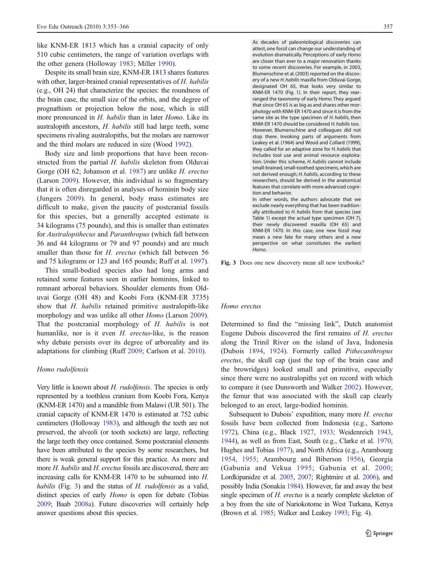like KNM-ER 1813 which has a cranial capacity of only 510 cubic centimeters, the range of variation overlaps with the other genera (Holloway [1983;](#page-12-0) Miller [1990\)](#page-13-0).

Despite its small brain size, KNM-ER 1813 shares features with other, larger-brained cranial representatives of H. habilis (e.g., OH 24) that characterize the species: the roundness of the brain case, the small size of the orbits, and the degree of prognathism or projection below the nose, which is still more pronounced in H. habilis than in later Homo. Like its australopith ancestors, H. habilis still had large teeth, some specimens rivaling australopiths, but the molars are narrower and the third molars are reduced in size (Wood [1992\)](#page-14-0).

Body size and limb proportions that have been reconstructed from the partial H. habilis skeleton from Olduvai Gorge (OH 62; Johanson et al. [1987\)](#page-13-0) are unlike *H. erectus* (Larson [2009](#page-13-0)). However, this individual is so fragmentary that it is often disregarded in analyses of hominin body size (Jungers [2009\)](#page-13-0). In general, body mass estimates are difficult to make, given the paucity of postcranial fossils for this species, but a generally accepted estimate is 34 kilograms (75 pounds), and this is smaller than estimates for Australopithecus and Paranthropus (which fall between 36 and 44 kilograms or 79 and 97 pounds) and are much smaller than those for H. erectus (which fall between 56 and 75 kilograms or 123 and 165 pounds; Ruff et al. [1997](#page-13-0)).

This small-bodied species also had long arms and retained some features seen in earlier hominins, linked to remnant arboreal behaviors. Shoulder elements from Olduvai Gorge (OH 48) and Koobi Fora (KNM-ER 3735) show that H. habilis retained primitive australopith-like morphology and was unlike all other *Homo* (Larson [2009](#page-13-0)). That the postcranial morphology of H. habilis is not humanlike, nor is it even H. erectus-like, is the reason why debate persists over its degree of arboreality and its adaptations for climbing (Ruff [2009;](#page-13-0) Carlson et al. [2010](#page-12-0)).

### Homo rudolfensis

Very little is known about H. rudolfensis. The species is only represented by a toothless cranium from Koobi Fora, Kenya (KNM-ER 1470) and a mandible from Malawi (UR 501). The cranial capacity of KNM-ER 1470 is estimated at 752 cubic centimeters (Holloway [1983](#page-12-0)), and although the teeth are not preserved, the alveoli (or tooth sockets) are large, reflecting the large teeth they once contained. Some postcranial elements have been attributed to the species by some researchers, but there is weak general support for this practice. As more and more H. habilis and H. erectus fossils are discovered, there are increasing calls for KNM-ER 1470 to be subsumed into H. habilis (Fig. 3) and the status of H. rudolfensis as a valid, distinct species of early Homo is open for debate (Tobias [2009](#page-14-0); Baab [2008a](#page-12-0)). Future discoveries will certainly help answer questions about this species.

As decades of paleontological discoveries can attest, one fossil can change our understanding of evolution dramatically. Perceptions of early *Homo* are closer than ever to a major renovation thanks to some recent discoveries. For example, in 2003, Blumenschine et al. (2003) reported on the discovery of a new *H. habilis* maxilla from Olduvai Gorge, designated OH 65, that looks very similar to KNM-ER 1470 (Fig. 1). In their report, they rearranged the taxonomy of early *Homo*. They argued that since OH 65 is as big as and shares other morphology with KNM-ER 1470 and since it is from the same site as the type specimen of *H. habilis*, then KNM-ER 1470 should be considered *H. habilis* too. However, Blumenschine and colleagues did not stop there. Invoking parts of arguments from Leakey et al. (1964) and Wood and Collard (1999), they called for an adaptive zone for *H. habilis* that includes tool use and animal resource exploitation. Under this scheme, *H. habilis* cannot include small-brained, small-toothed specimens, which are not derived enough; *H. habilis*, according to these researchers, should be derived in the anatomical features that correlate with more advanced cognition and behavior. In other words, the authors advocate that we exclude nearly everything that has been traditionally attributed to *H. habilis* from that species (see Table 1) except the actual type specimen (OH 7), their newly discovered maxilla (OH 65) and KNM-ER 1470. In this case, one new fossil may mean a new fate for many others and a new perspective on what constitutes the earliest

Fig. 3 Does one new discovery mean all new textbooks?

#### Homo erectus

*Homo*.

Determined to find the "missing link", Dutch anatomist Eugene Dubois discovered the first remains of H. erectus along the Trinil River on the island of Java, Indonesia (Dubois [1894,](#page-12-0) [1924\)](#page-12-0). Formerly called Pithecanthropus erectus, the skull cap (just the top of the brain case and the browridges) looked small and primitive, especially since there were no australopiths yet on record with which to compare it (see Dunsworth and Walker [2002](#page-12-0)). However, the femur that was associated with the skull cap clearly belonged to an erect, large-bodied hominin.

Subsequent to Dubois' expedition, many more *H. erectus* fossils have been collected from Indonesia (e.g., Sartono [1972\)](#page-13-0), China (e.g., Black [1927,](#page-12-0) [1933;](#page-12-0) Weidenreich [1943,](#page-14-0) [1944\)](#page-14-0), as well as from East, South (e.g., Clarke et al. [1970;](#page-12-0) Hughes and Tobias [1977](#page-13-0)), and North Africa (e.g., Arambourg [1954](#page-11-0), [1955](#page-11-0); Arambourg and Biberson [1956](#page-12-0)), Georgia (Gabunia and Vekua [1995;](#page-12-0) Gabunia et al. [2000;](#page-12-0) Lordkipanidze et al. [2005](#page-13-0), [2007](#page-13-0); Rightmire et al. [2006](#page-13-0)), and possibly India (Sonakia [1984](#page-14-0)). However, far and away the best single specimen of H. erectus is a nearly complete skeleton of a boy from the site of Nariokotome in West Turkana, Kenya (Brown et al. [1985](#page-12-0); Walker and Leakey [1993;](#page-14-0) Fig. [4](#page-6-0)).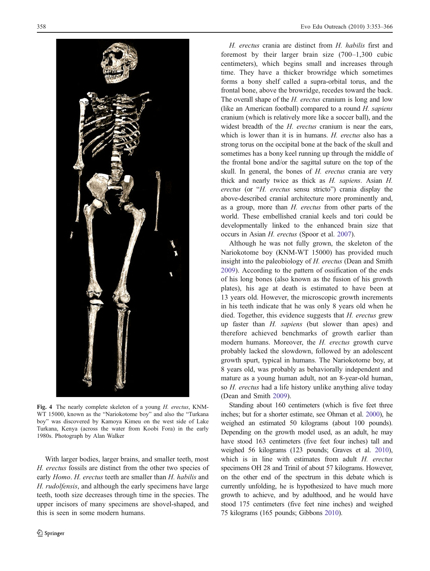<span id="page-6-0"></span>

Fig. 4 The nearly complete skeleton of a young H. erectus, KNM-WT 15000, known as the "Nariokotome boy" and also the "Turkana boy" was discovered by Kamoya Kimeu on the west side of Lake Turkana, Kenya (across the water from Koobi Fora) in the early 1980s. Photograph by Alan Walker

With larger bodies, larger brains, and smaller teeth, most H. erectus fossils are distinct from the other two species of early Homo. H. erectus teeth are smaller than H. habilis and H. rudolfensis, and although the early specimens have large teeth, tooth size decreases through time in the species. The upper incisors of many specimens are shovel-shaped, and this is seen in some modern humans.

H. erectus crania are distinct from H. habilis first and foremost by their larger brain size (700–1,300 cubic centimeters), which begins small and increases through time. They have a thicker browridge which sometimes forms a bony shelf called a supra-orbital torus, and the frontal bone, above the browridge, recedes toward the back. The overall shape of the *H. erectus* cranium is long and low (like an American football) compared to a round  $H$ . sapiens cranium (which is relatively more like a soccer ball), and the widest breadth of the H. erectus cranium is near the ears, which is lower than it is in humans. H. erectus also has a strong torus on the occipital bone at the back of the skull and sometimes has a bony keel running up through the middle of the frontal bone and/or the sagittal suture on the top of the skull. In general, the bones of H. erectus crania are very thick and nearly twice as thick as H. sapiens. Asian H. erectus (or "H. erectus sensu stricto") crania display the above-described cranial architecture more prominently and, as a group, more than H. erectus from other parts of the world. These embellished cranial keels and tori could be developmentally linked to the enhanced brain size that occurs in Asian H. erectus (Spoor et al. [2007\)](#page-14-0).

Although he was not fully grown, the skeleton of the Nariokotome boy (KNM-WT 15000) has provided much insight into the paleobiology of H. erectus (Dean and Smith [2009](#page-12-0)). According to the pattern of ossification of the ends of his long bones (also known as the fusion of his growth plates), his age at death is estimated to have been at 13 years old. However, the microscopic growth increments in his teeth indicate that he was only 8 years old when he died. Together, this evidence suggests that H. erectus grew up faster than H. sapiens (but slower than apes) and therefore achieved benchmarks of growth earlier than modern humans. Moreover, the H. erectus growth curve probably lacked the slowdown, followed by an adolescent growth spurt, typical in humans. The Nariokotome boy, at 8 years old, was probably as behaviorally independent and mature as a young human adult, not an 8-year-old human, so H. erectus had a life history unlike anything alive today (Dean and Smith [2009](#page-12-0)).

Standing about 160 centimeters (which is five feet three inches; but for a shorter estimate, see Ohman et al. [2000\)](#page-13-0), he weighed an estimated 50 kilograms (about 100 pounds). Depending on the growth model used, as an adult, he may have stood 163 centimeters (five feet four inches) tall and weighed 56 kilograms (123 pounds; Graves et al. [2010\)](#page-12-0), which is in line with estimates from adult H. erectus specimens OH 28 and Trinil of about 57 kilograms. However, on the other end of the spectrum in this debate which is currently unfolding, he is hypothesized to have much more growth to achieve, and by adulthood, and he would have stood 175 centimeters (five feet nine inches) and weighed 75 kilograms (165 pounds; Gibbons [2010](#page-12-0)).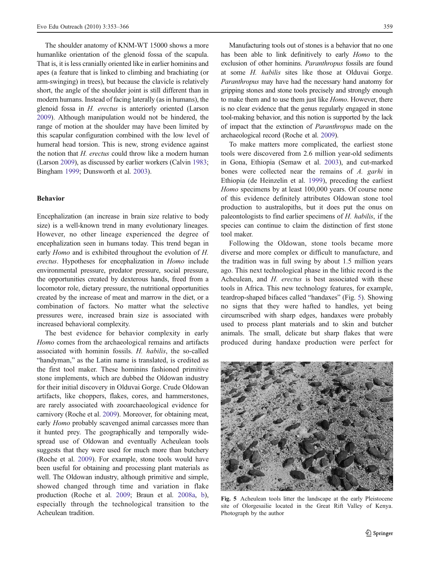The shoulder anatomy of KNM-WT 15000 shows a more humanlike orientation of the glenoid fossa of the scapula. That is, it is less cranially oriented like in earlier hominins and apes (a feature that is linked to climbing and brachiating (or arm-swinging) in trees), but because the clavicle is relatively short, the angle of the shoulder joint is still different than in modern humans. Instead of facing laterally (as in humans), the glenoid fossa in H. erectus is anteriorly oriented (Larson [2009\)](#page-13-0). Although manipulation would not be hindered, the range of motion at the shoulder may have been limited by this scapular configuration combined with the low level of humeral head torsion. This is new, strong evidence against the notion that H. erectus could throw like a modern human (Larson [2009](#page-13-0)), as discussed by earlier workers (Calvin [1983](#page-12-0); Bingham [1999;](#page-12-0) Dunsworth et al. [2003\)](#page-12-0).

### Behavior

Encephalization (an increase in brain size relative to body size) is a well-known trend in many evolutionary lineages. However, no other lineage experienced the degree of encephalization seen in humans today. This trend began in early Homo and is exhibited throughout the evolution of H. erectus. Hypotheses for encephalization in Homo include environmental pressure, predator pressure, social pressure, the opportunities created by dexterous hands, freed from a locomotor role, dietary pressure, the nutritional opportunities created by the increase of meat and marrow in the diet, or a combination of factors. No matter what the selective pressures were, increased brain size is associated with increased behavioral complexity.

The best evidence for behavior complexity in early Homo comes from the archaeological remains and artifacts associated with hominin fossils. H. habilis, the so-called "handyman," as the Latin name is translated, is credited as the first tool maker. These hominins fashioned primitive stone implements, which are dubbed the Oldowan industry for their initial discovery in Olduvai Gorge. Crude Oldowan artifacts, like choppers, flakes, cores, and hammerstones, are rarely associated with zooarchaeological evidence for carnivory (Roche et al. [2009\)](#page-13-0). Moreover, for obtaining meat, early Homo probably scavenged animal carcasses more than it hunted prey. The geographically and temporally widespread use of Oldowan and eventually Acheulean tools suggests that they were used for much more than butchery (Roche et al. [2009\)](#page-13-0). For example, stone tools would have been useful for obtaining and processing plant materials as well. The Oldowan industry, although primitive and simple, showed changed through time and variation in flake production (Roche et al. [2009](#page-13-0); Braun et al. [2008a](#page-12-0), [b\)](#page-12-0), especially through the technological transition to the Acheulean tradition.

Manufacturing tools out of stones is a behavior that no one has been able to link definitively to early Homo to the exclusion of other hominins. Paranthropus fossils are found at some H. habilis sites like those at Olduvai Gorge. Paranthropus may have had the necessary hand anatomy for gripping stones and stone tools precisely and strongly enough to make them and to use them just like Homo. However, there is no clear evidence that the genus regularly engaged in stone tool-making behavior, and this notion is supported by the lack of impact that the extinction of Paranthropus made on the archaeological record (Roche et al. [2009\)](#page-13-0).

To make matters more complicated, the earliest stone tools were discovered from 2.6 million year-old sediments in Gona, Ethiopia (Semaw et al. [2003\)](#page-14-0), and cut-marked bones were collected near the remains of A. garhi in Ethiopia (de Heinzelin et al. [1999](#page-12-0)), preceding the earliest Homo specimens by at least 100,000 years. Of course none of this evidence definitely attributes Oldowan stone tool production to australopiths, but it does put the onus on paleontologists to find earlier specimens of H. habilis, if the species can continue to claim the distinction of first stone tool maker.

Following the Oldowan, stone tools became more diverse and more complex or difficult to manufacture, and the tradition was in full swing by about 1.5 million years ago. This next technological phase in the lithic record is the Acheulean, and *H. erectus* is best associated with these tools in Africa. This new technology features, for example, teardrop-shaped bifaces called "handaxes" (Fig. 5). Showing no signs that they were hafted to handles, yet being circumscribed with sharp edges, handaxes were probably used to process plant materials and to skin and butcher animals. The small, delicate but sharp flakes that were produced during handaxe production were perfect for



Fig. 5 Acheulean tools litter the landscape at the early Pleistocene site of Olorgesailie located in the Great Rift Valley of Kenya. Photograph by the author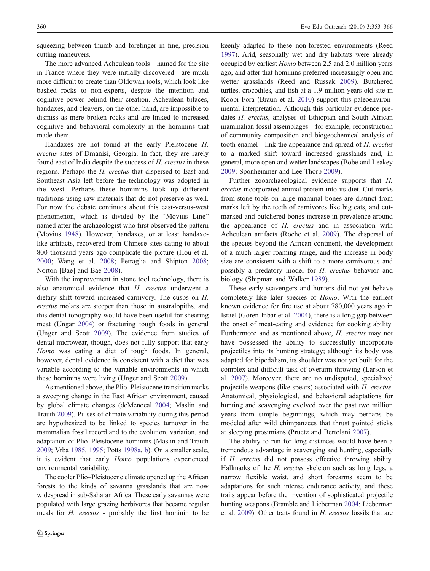squeezing between thumb and forefinger in fine, precision cutting maneuvers.

The more advanced Acheulean tools—named for the site in France where they were initially discovered—are much more difficult to create than Oldowan tools, which look like bashed rocks to non-experts, despite the intention and cognitive power behind their creation. Acheulean bifaces, handaxes, and cleavers, on the other hand, are impossible to dismiss as mere broken rocks and are linked to increased cognitive and behavioral complexity in the hominins that made them.

Handaxes are not found at the early Pleistocene H. erectus sites of Dmanisi, Georgia. In fact, they are rarely found east of India despite the success of H. erectus in these regions. Perhaps the H. erectus that dispersed to East and Southeast Asia left before the technology was adopted in the west. Perhaps these hominins took up different traditions using raw materials that do not preserve as well. For now the debate continues about this east-versus-west phenomenon, which is divided by the "Movius Line" named after the archaeologist who first observed the pattern (Movius [1948](#page-13-0)). However, handaxes, or at least handaxelike artifacts, recovered from Chinese sites dating to about 800 thousand years ago complicate the picture (Hou et al. [2000;](#page-12-0) Wang et al. [2008](#page-14-0); Petraglia and Shipton [2008](#page-13-0); Norton [Bae] and Bae [2008\)](#page-13-0).

With the improvement in stone tool technology, there is also anatomical evidence that H. erectus underwent a dietary shift toward increased carnivory. The cusps on H. erectus molars are steeper than those in australopiths, and this dental topography would have been useful for shearing meat (Ungar [2004\)](#page-14-0) or fracturing tough foods in general (Unger and Scott [2009](#page-14-0)). The evidence from studies of dental microwear, though, does not fully support that early Homo was eating a diet of tough foods. In general, however, dental evidence is consistent with a diet that was variable according to the variable environments in which these hominins were living (Unger and Scott [2009](#page-14-0)).

As mentioned above, the Plio–Pleistocene transition marks a sweeping change in the East African environment, caused by global climate changes (deMenocal [2004;](#page-12-0) Maslin and Trauth [2009\)](#page-13-0). Pulses of climate variability during this period are hypothesized to be linked to species turnover in the mammalian fossil record and to the evolution, variation, and adaptation of Plio–Pleistocene hominins (Maslin and Trauth [2009;](#page-13-0) Vrba [1985,](#page-14-0) [1995;](#page-14-0) Potts [1998a,](#page-13-0) [b](#page-13-0)). On a smaller scale, it is evident that early Homo populations experienced environmental variability.

The cooler Plio–Pleistocene climate opened up the African forests to the kinds of savanna grasslands that are now widespread in sub-Saharan Africa. These early savannas were populated with large grazing herbivores that became regular meals for H. erectus - probably the first hominin to be keenly adapted to these non-forested environments (Reed [1997\)](#page-13-0). Arid, seasonally wet and dry habitats were already occupied by earliest Homo between 2.5 and 2.0 million years ago, and after that hominins preferred increasingly open and wetter grasslands (Reed and Russak [2009](#page-13-0)). Butchered turtles, crocodiles, and fish at a 1.9 million years-old site in Koobi Fora (Braun et al. [2010\)](#page-12-0) support this paleoenvironmental interpretation. Although this particular evidence predates H. erectus, analyses of Ethiopian and South African mammalian fossil assemblages—for example, reconstruction of community composition and biogeochemical analysis of tooth enamel—link the appearance and spread of H. erectus to a marked shift toward increased grasslands and, in general, more open and wetter landscapes (Bobe and Leakey [2009;](#page-12-0) Sponheinmer and Lee-Thorp [2009](#page-14-0)).

Further zooarchaeological evidence supports that H. erectus incorporated animal protein into its diet. Cut marks from stone tools on large mammal bones are distinct from marks left by the teeth of carnivores like big cats, and cutmarked and butchered bones increase in prevalence around the appearance of H. erectus and in association with Acheulean artifacts (Roche et al. [2009\)](#page-13-0). The dispersal of the species beyond the African continent, the development of a much larger roaming range, and the increase in body size are consistent with a shift to a more carnivorous and possibly a predatory model for H. erectus behavior and biology (Shipman and Walker [1989\)](#page-14-0).

These early scavengers and hunters did not yet behave completely like later species of Homo. With the earliest known evidence for fire use at about 780,000 years ago in Israel (Goren-Inbar et al. [2004](#page-12-0)), there is a long gap between the onset of meat-eating and evidence for cooking ability. Furthermore and as mentioned above, H. erectus may not have possessed the ability to successfully incorporate projectiles into its hunting strategy; although its body was adapted for bipedalism, its shoulder was not yet built for the complex and difficult task of overarm throwing (Larson et al. [2007\)](#page-13-0). Moreover, there are no undisputed, specialized projectile weapons (like spears) associated with H. erectus. Anatomical, physiological, and behavioral adaptations for hunting and scavenging evolved over the past two million years from simple beginnings, which may perhaps be modeled after wild chimpanzees that thrust pointed sticks at sleeping prosimians (Pruetz and Bertolani [2007\)](#page-13-0).

The ability to run for long distances would have been a tremendous advantage in scavenging and hunting, especially if H. erectus did not possess effective throwing ability. Hallmarks of the H. erectus skeleton such as long legs, a narrow flexible waist, and short forearms seem to be adaptations for such intense endurance activity, and these traits appear before the invention of sophisticated projectile hunting weapons (Bramble and Lieberman [2004;](#page-12-0) Lieberman et al. [2009\)](#page-13-0). Other traits found in H. erectus fossils that are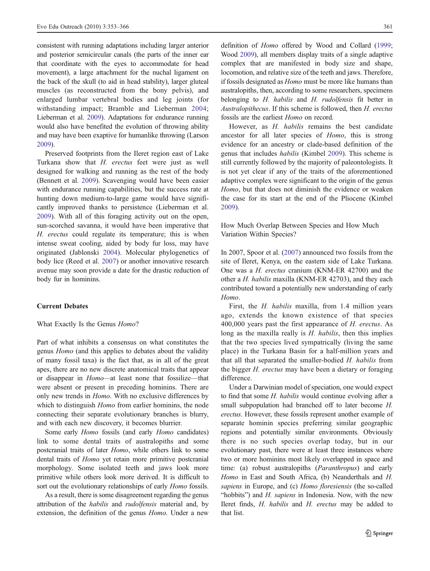consistent with running adaptations including larger anterior and posterior semicircular canals (the parts of the inner ear that coordinate with the eyes to accommodate for head movement), a large attachment for the nuchal ligament on the back of the skull (to aid in head stability), larger gluteal muscles (as reconstructed from the bony pelvis), and enlarged lumbar vertebral bodies and leg joints (for withstanding impact; Bramble and Lieberman [2004](#page-12-0); Lieberman et al. [2009](#page-13-0)). Adaptations for endurance running would also have benefited the evolution of throwing ability and may have been exaptive for humanlike throwing (Larson [2009\)](#page-13-0).

Preserved footprints from the Ileret region east of Lake Turkana show that H. erectus feet were just as well designed for walking and running as the rest of the body (Bennett et al. [2009](#page-12-0)). Scavenging would have been easier with endurance running capabilities, but the success rate at hunting down medium-to-large game would have significantly improved thanks to persistence (Lieberman et al. [2009\)](#page-13-0). With all of this foraging activity out on the open, sun-scorched savanna, it would have been imperative that H. erectus could regulate its temperature; this is when intense sweat cooling, aided by body fur loss, may have originated (Jablonski [2004\)](#page-13-0). Molecular phylogenetics of body lice (Reed et al. [2007](#page-13-0)) or another innovative research avenue may soon provide a date for the drastic reduction of body fur in hominins.

#### Current Debates

What Exactly Is the Genus Homo?

Part of what inhibits a consensus on what constitutes the genus Homo (and this applies to debates about the validity of many fossil taxa) is the fact that, as in all of the great apes, there are no new discrete anatomical traits that appear or disappear in Homo—at least none that fossilize—that were absent or present in preceding hominins. There are only new trends in Homo. With no exclusive differences by which to distinguish *Homo* from earlier hominins, the node connecting their separate evolutionary branches is blurry, and with each new discovery, it becomes blurrier.

Some early Homo fossils (and early Homo candidates) link to some dental traits of australopiths and some postcranial traits of later Homo, while others link to some dental traits of Homo yet retain more primitive postcranial morphology. Some isolated teeth and jaws look more primitive while others look more derived. It is difficult to sort out the evolutionary relationships of early *Homo* fossils.

As a result, there is some disagreement regarding the genus attribution of the habilis and rudolfensis material and, by extension, the definition of the genus Homo. Under a new definition of Homo offered by Wood and Collard [\(1999;](#page-14-0) Wood [2009](#page-14-0)), all members display traits of a single adaptive complex that are manifested in body size and shape, locomotion, and relative size of the teeth and jaws. Therefore, if fossils designated as Homo must be more like humans than australopiths, then, according to some researchers, specimens belonging to H. habilis and H. rudolfensis fit better in Australopithecus. If this scheme is followed, then H. erectus fossils are the earliest Homo on record.

However, as *H. habilis* remains the best candidate ancestor for all later species of Homo, this is strong evidence for an ancestry or clade-based definition of the genus that includes habilis (Kimbel [2009](#page-13-0)). This scheme is still currently followed by the majority of paleontologists. It is not yet clear if any of the traits of the aforementioned adaptive complex were significant to the origin of the genus Homo, but that does not diminish the evidence or weaken the case for its start at the end of the Pliocene (Kimbel [2009](#page-13-0)).

How Much Overlap Between Species and How Much Variation Within Species?

In 2007, Spoor et al. ([2007\)](#page-14-0) announced two fossils from the site of Ileret, Kenya, on the eastern side of Lake Turkana. One was a H. erectus cranium (KNM-ER 42700) and the other a H. habilis maxilla (KNM-ER 42703), and they each contributed toward a potentially new understanding of early Homo.

First, the H. habilis maxilla, from 1.4 million years ago, extends the known existence of that species 400,000 years past the first appearance of H. erectus. As long as the maxilla really is  $H$ . habilis, then this implies that the two species lived sympatrically (living the same place) in the Turkana Basin for a half-million years and that all that separated the smaller-bodied H. habilis from the bigger H. erectus may have been a dietary or foraging difference.

Under a Darwinian model of speciation, one would expect to find that some H. habilis would continue evolving after a small subpopulation had branched off to later become H. erectus. However, these fossils represent another example of separate hominin species preferring similar geographic regions and potentially similar environments. Obviously there is no such species overlap today, but in our evolutionary past, there were at least three instances where two or more hominins most likely overlapped in space and time: (a) robust australopiths (Paranthropus) and early Homo in East and South Africa, (b) Neanderthals and H. sapiens in Europe, and (c) Homo floresiensis (the so-called "hobbits") and *H. sapiens* in Indonesia. Now, with the new Ileret finds, H. habilis and H. erectus may be added to that list.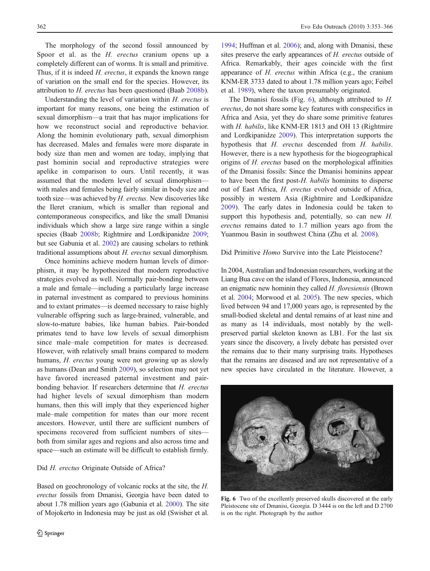The morphology of the second fossil announced by Spoor et al. as the H. erectus cranium opens up a completely different can of worms. It is small and primitive. Thus, if it is indeed *H. erectus*, it expands the known range of variation on the small end for the species. However, its attribution to H. erectus has been questioned (Baab [2008b](#page-12-0)).

Understanding the level of variation within H. erectus is important for many reasons, one being the estimation of sexual dimorphism—a trait that has major implications for how we reconstruct social and reproductive behavior. Along the hominin evolutionary path, sexual dimorphism has decreased. Males and females were more disparate in body size than men and women are today, implying that past hominin social and reproductive strategies were apelike in comparison to ours. Until recently, it was assumed that the modern level of sexual dimorphism with males and females being fairly similar in body size and tooth size—was achieved by H. erectus. New discoveries like the Ileret cranium, which is smaller than regional and contemporaneous conspecifics, and like the small Dmanisi individuals which show a large size range within a single species (Baab [2008b;](#page-12-0) Rightmire and Lordkipanidze [2009](#page-13-0); but see Gabunia et al. [2002](#page-12-0)) are causing scholars to rethink traditional assumptions about H. erectus sexual dimorphism.

Once hominins achieve modern human levels of dimorphism, it may be hypothesized that modern reproductive strategies evolved as well. Normally pair-bonding between a male and female—including a particularly large increase in paternal investment as compared to previous hominins and to extant primates—is deemed necessary to raise highly vulnerable offspring such as large-brained, vulnerable, and slow-to-mature babies, like human babies. Pair-bonded primates tend to have low levels of sexual dimorphism since male–male competition for mates is decreased. However, with relatively small brains compared to modern humans, H. erectus young were not growing up as slowly as humans (Dean and Smith [2009\)](#page-12-0), so selection may not yet have favored increased paternal investment and pairbonding behavior. If researchers determine that H. erectus had higher levels of sexual dimorphism than modern humans, then this will imply that they experienced higher male–male competition for mates than our more recent ancestors. However, until there are sufficient numbers of specimens recovered from sufficient numbers of sites both from similar ages and regions and also across time and space—such an estimate will be difficult to establish firmly.

### Did H. erectus Originate Outside of Africa?

Based on geochronology of volcanic rocks at the site, the H. erectus fossils from Dmanisi, Georgia have been dated to about 1.78 million years ago (Gabunia et al. [2000\)](#page-12-0). The site of Mojokerto in Indonesia may be just as old (Swisher et al.

[1994;](#page-14-0) Huffman et al. [2006\)](#page-13-0); and, along with Dmanisi, these sites preserve the early appearances of H. erectus outside of Africa. Remarkably, their ages coincide with the first appearance of H. erectus within Africa (e.g., the cranium KNM-ER 3733 dated to about 1.78 million years ago; Feibel et al. [1989](#page-12-0)), where the taxon presumably originated.

The Dmanisi fossils (Fig. 6), although attributed to H. erectus, do not share some key features with conspecifics in Africa and Asia, yet they do share some primitive features with H. habilis, like KNM-ER 1813 and OH 13 (Rightmire and Lordkipanidze [2009](#page-13-0)). This interpretation supports the hypothesis that H. erectus descended from H. habilis. However, there is a new hypothesis for the biogeographical origins of H. erectus based on the morphological affinities of the Dmanisi fossils: Since the Dmanisi hominins appear to have been the first post-H. habilis hominins to disperse out of East Africa, H. erectus evolved outside of Africa, possibly in western Asia (Rightmire and Lordkipanidze [2009](#page-13-0)). The early dates in Indonesia could be taken to support this hypothesis and, potentially, so can new H. erectus remains dated to 1.7 million years ago from the Yuanmou Basin in southwest China (Zhu et al. [2008](#page-14-0)).

### Did Primitive Homo Survive into the Late Pleistocene?

In 2004, Australian and Indonesian researchers, working at the Liang Bua cave on the island of Flores, Indonesia, announced an enigmatic new hominin they called H. floresiensis (Brown et al. [2004;](#page-12-0) Morwood et al. [2005\)](#page-13-0). The new species, which lived between 94 and 17,000 years ago, is represented by the small-bodied skeletal and dental remains of at least nine and as many as 14 individuals, most notably by the wellpreserved partial skeleton known as LB1. For the last six years since the discovery, a lively debate has persisted over the remains due to their many surprising traits. Hypotheses that the remains are diseased and are not representative of a new species have circulated in the literature. However, a



Fig. 6 Two of the excellently preserved skulls discovered at the early Pleistocene site of Dmanisi, Georgia. D 3444 is on the left and D 2700 is on the right. Photograph by the author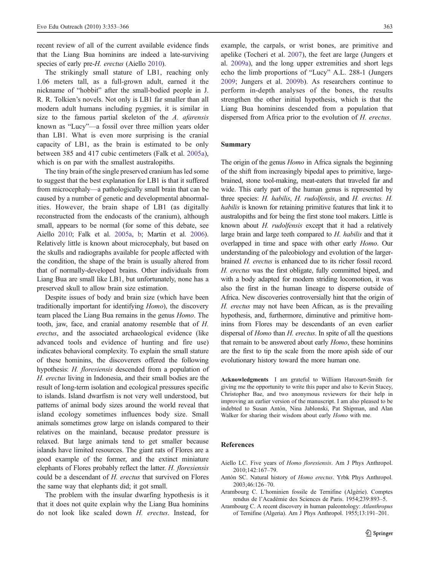<span id="page-11-0"></span>recent review of all of the current available evidence finds that the Liang Bua hominins are indeed a late-surviving species of early pre-*H. erectus* (Aiello 2010).

The strikingly small stature of LB1, reaching only 1.06 meters tall, as a full-grown adult, earned it the nickname of "hobbit" after the small-bodied people in J. R. R. Tolkien's novels. Not only is LB1 far smaller than all modern adult humans including pygmies, it is similar in size to the famous partial skeleton of the A. afarensis known as "Lucy"—a fossil over three million years older than LB1. What is even more surprising is the cranial capacity of LB1, as the brain is estimated to be only between 385 and 417 cubic centimeters (Falk et al. [2005a](#page-12-0)), which is on par with the smallest australopiths.

The tiny brain of the single preserved cranium has led some to suggest that the best explanation for LB1 is that it suffered from microcephaly—a pathologically small brain that can be caused by a number of genetic and developmental abnormalities. However, the brain shape of LB1 (as digitally reconstructed from the endocasts of the cranium), although small, appears to be normal (for some of this debate, see Aiello 2010; Falk et al. [2005a,](#page-12-0) [b;](#page-12-0) Martin et al. [2006\)](#page-13-0). Relatively little is known about microcephaly, but based on the skulls and radiographs available for people affected with the condition, the shape of the brain is usually altered from that of normally-developed brains. Other individuals from Liang Bua are small like LB1, but unfortunately, none has a preserved skull to allow brain size estimation.

Despite issues of body and brain size (which have been traditionally important for identifying Homo), the discovery team placed the Liang Bua remains in the genus Homo. The tooth, jaw, face, and cranial anatomy resemble that of H. erectus, and the associated archaeological evidence (like advanced tools and evidence of hunting and fire use) indicates behavioral complexity. To explain the small stature of these hominins, the discoverers offered the following hypothesis: H. floresiensis descended from a population of H. erectus living in Indonesia, and their small bodies are the result of long-term isolation and ecological pressures specific to islands. Island dwarfism is not very well understood, but patterns of animal body sizes around the world reveal that island ecology sometimes influences body size. Small animals sometimes grow large on islands compared to their relatives on the mainland, because predator pressure is relaxed. But large animals tend to get smaller because islands have limited resources. The giant rats of Flores are a good example of the former, and the extinct miniature elephants of Flores probably reflect the latter. H. floresiensis could be a descendant of H. erectus that survived on Flores the same way that elephants did; it got small.

The problem with the insular dwarfing hypothesis is it that it does not quite explain why the Liang Bua hominins do not look like scaled down H. erectus. Instead, for

example, the carpals, or wrist bones, are primitive and apelike (Tocheri et al. [2007\)](#page-14-0), the feet are large (Jungers et al. [2009a](#page-13-0)), and the long upper extremities and short legs echo the limb proportions of "Lucy" A.L. 288-1 (Jungers [2009](#page-13-0); Jungers et al. [2009b](#page-13-0)). As researchers continue to perform in-depth analyses of the bones, the results strengthen the other initial hypothesis, which is that the Liang Bua hominins descended from a population that dispersed from Africa prior to the evolution of H. erectus.

### Summary

The origin of the genus *Homo* in Africa signals the beginning of the shift from increasingly bipedal apes to primitive, largebrained, stone tool-making, meat-eaters that traveled far and wide. This early part of the human genus is represented by three species: H. habilis, H. rudolfensis, and H. erectus. H. habilis is known for retaining primitive features that link it to australopiths and for being the first stone tool makers. Little is known about H. rudolfensis except that it had a relatively large brain and large teeth compared to H. habilis and that it overlapped in time and space with other early Homo. Our understanding of the paleobiology and evolution of the largerbrained H. erectus is enhanced due to its richer fossil record. H. erectus was the first obligate, fully committed biped, and with a body adapted for modern striding locomotion, it was also the first in the human lineage to disperse outside of Africa. New discoveries controversially hint that the origin of H. erectus may not have been African, as is the prevailing hypothesis, and, furthermore, diminutive and primitive hominins from Flores may be descendants of an even earlier dispersal of *Homo* than *H. erectus*. In spite of all the questions that remain to be answered about early Homo, these hominins are the first to tip the scale from the more apish side of our evolutionary history toward the more human one.

Acknowledgments I am grateful to William Harcourt-Smith for giving me the opportunity to write this paper and also to Kevin Stacey, Christopher Bae, and two anonymous reviewers for their help in improving an earlier version of the manuscript. I am also pleased to be indebted to Susan Antón, Nina Jablonski, Pat Shipman, and Alan Walker for sharing their wisdom about early Homo with me.

#### References

- Aiello LC. Five years of Homo floresiensis. Am J Phys Anthropol. 2010;142:167–79.
- Antón SC. Natural history of Homo erectus. Yrbk Phys Anthropol. 2003;46:126–70.
- Arambourg C. L'hominien fossile de Ternifine (Algérie). Comptes rendus de l'Académie des Sciences de Paris. 1954;239:893–5.
- Arambourg C. A recent discovery in human paleontology: Atlanthropus of Ternifine (Algeria). Am J Phys Anthropol. 1955;13:191–201.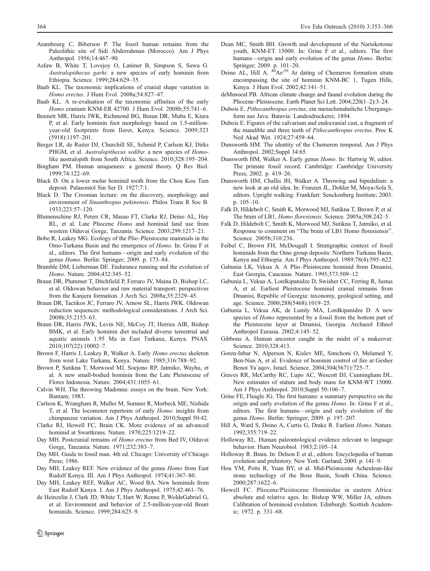- <span id="page-12-0"></span>Arambourg C, Biberson P. The fossil human remains from the Paleolithic site of Sidi Abderrahman (Morocco). Am J Phys Anthropol. 1956;14:467–90.
- Asfaw B, White T, Lovejoy O, Latimer B, Simpson S, Suwa G. Australopithecus garhi: a new species of early hominin from Ethiopia. Science. 1999;284:629–35.
- Baab KL. The taxonomic implications of cranial shape variation in Homo erectus. J Hum Evol. 2008a;54:827–47.
- Baab KL. A re-evaluation of the taxonomic affinities of the early Homo cranium KNM-ER 42700. J Hum Evol. 2008b;55:741–6.
- Bennett MR, Harris JWK, Richmond BG, Braun DR, Muba E, Kiura P, et al. Early hominin foot morphology based on 1.5-millionyear-old footprints from Ileret, Kenya. Science. 2009;323 (5918):1197–201.
- Berger LR, de Ruiter DJ, Churchill SE, Schmid P, Carlson KJ, Dirks PHGM, et al. Australopithecus sediba: a new species of Homolike australopith from South Africa. Science. 2010;328:195–204.
- Bingham PM. Human uniqueness: a general theory. Q Rev Biol. 1999;74:122–69.
- Black D. On a lower molar hominid tooth from the Chou Kou Tien deposit. Palaeontol Sin Ser D. 1927;7:1.
- Black D. The Croonian lecture: on the discovery, morphology and environment of Sinanthropus pekinensis. Philos Trans R Soc B. 1933;223:57–120.
- Blumenschine RJ, Peters CR, Masao FT, Clarke RJ, Deino AL, Hay RL, et al. Late Pliocene Homo and hominid land use from western Olduvai Gorge, Tanzania. Science. 2003;299:1217–21.
- Bobe R, Leakey MG. Ecology of the Plio–Pleistocene mammals in the Omo-Turkana Basin and the emergence of Homo. In: Grine F et al., editors. The first humans—origin and early evolution of the genus Homo. Berlin: Springer; 2009. p. 173–84.
- Bramble DM, Lieberman DE. Endurance running and the evolution of Homo. Nature. 2004;432:345-52.
- Braun DR, Plummer T, Ditchfield P, Ferraro JV, Maina D, Bishop LC, et al. Oldowan behavior and raw material transport: perspectives from the Kanjera formation. J Arch Sci. 2008a;35:2329–45.
- Braun DR, Tactikos JC, Ferraro JV, Arnow SL, Harris JWK. Oldowan reduction sequences: methodological considerations. J Arch Sci. 2008b;35:2153–63.
- Braun DR, Harris JWK, Levin NE, McCoy JT, Herries AIR, Bishop BMK, et al. Early hominin diet included diverse terrestrial and aquatic animals 1.95 Ma in East Turkana, Kenya. PNAS. 2010;107(22):10002–7.
- Brown F, Harris J, Leakey R, Walker A. Early Homo erectus skeleton from west Lake Turkana, Kenya. Nature. 1985;316:788–92.
- Brown P, Sutikna T, Morwood MJ, Soejono RP, Jatmiko, Wayhu, et al. A new small-bodied hominin from the Late Pleistocene of Flores Indonesia. Nature. 2004;431:1055–61.
- Calvin WH. The throwing Madonna: essays on the brain. New York: Bantam; 1983.
- Carlson K, Wrangham R, Muller M, Sumner R, Morbeck ME, Nishida T, et al. The locomotor repertoire of early Homo: insights from chimpanzee variation. Am J Phys Anthropol. 2010;Suppl 50:42.
- Clarke RJ, Howell FC, Brain CK. More evidence of an advanced hominid at Swartkrans. Nature. 1970;225:1219–22.
- Day MH. Postcranial remains of Homo erectus from Bed IV, Olduvai Gorge, Tanzania. Nature. 1971;232:383–7.
- Day MH. Guide to fossil man. 4th ed. Chicago: University of Chicago Press; 1986.
- Day MH, Leakey REF. New evidence of the genus Homo from East Rudolf Kenya. III. Am J Phys Anthropol. 1974;41:367–80.
- Day MH, Leakey REF, Walker AC, Wood BA. New hominids from East Rudolf Kenya. I. Am J Phys Anthropol. 1975;42:461–76.
- de Heinzelin J, Clark JD, White T, Hart W, Renne P, WoldeGabriel G, et al. Environment and behavior of 2.5-million-year-old Bouri hominids. Science. 1999;284:625–9.
- Dean MC, Smith BH. Growth and development of the Nariokotome youth, KNM-ET 15000. In: Grine F et al., editors. The first humans—origin and early evolution of the genus Homo. Berlin: Springer; 2009. p. 101–20.
- Deino AL, Hill A. <sup>40</sup>Ar/<sup>39</sup> Ar dating of Chemeron formation strata encompassing the site of hominin KNM-BC 1, Tugen Hills, Kenya. J Hum Evol. 2002;42:141–51.
- deMenocal PB. African climate change and faunal evolution during the Pliocene–Pleistocene. Earth Planet Sci Lett. 2004;220(1–2):3–24.
- Dubois E. Pithecanthropus erectus, ein menschenahnliche Ubergangsform aus Java. Batavia: Landesdruckerei; 1894.
- Dubois E. Figures of the calvarium and endocranial cast, a fragment of the mandible and three teeth of Pithecanthropus erectus. Proc K Ned Akad Wet. 1924;27:459–64.
- Dunsworth HM. The identity of the Chemeron temporal. Am J Phys Anthropol. 2002;Suppl 34:65.
- Dunsworth HM, Walker A. Early genus Homo. In: Hartwig W, editor. The primate fossil record. Cambridge: Cambridge University Press; 2002. p. 419–26.
- Dunsworth HM, Challis JH, Walker A. Throwing and bipedalism: a new look at an old idea. In: Franzen JL, Dohler M, Moya-Sola S, editors. Upright walking. Frankfurt: Senckenberg Institute; 2003. p. 105–10.
- Falk D, Hildebolt C, Smith K, Morwood MJ, Sutikna T, Brown P, et al. The brain of LB1, Homo floresiensis. Science. 2005a;308:242–5.
- Falk D, Hildebolt C, Smith K, Morwood MJ, Sutikna T, Jatmiko, et al. Response to comment on "The brain of LB1 Homo floresiensis". Science. 2005b;310:236.
- Feibel C, Brown FH, McDougall I. Stratigraphic context of fossil hominids from the Omo group deposits: Northern Turkana Basin, Kenya and Ethiopia. Am J Phys Anthropol. 1989;78(4):595–622.
- Gabunia LK, Vekua A. A Plio–Pleistocene hominid from Dmanisi, East Georgia, Caucasus. Nature. 1995;373:509–12.
- Gabunia L, Vekua A, Lordkipanidze D, Swisher CC, Ferring R, Justus A, et al. Earliest Pleistocene hominid cranial remains from Dmanisi, Republic of Georgia: taxonomy, geological setting, and age. Science. 2000;288(5468):1019–25.
- Gabunia L, Vekua AK, de Lumly MA, Lordkipanidze D. A new species of *Homo* represented by a fossil from the bottom part of the Pleistocene layer at Dmanisi, Georgia. Archaeol Ethnol Anthropol Eurasia. 2002;4:145–52.
- Gibbons A. Human ancestor caught in the midst of a makeover. Science. 2010;328:413.
- Goren-Inbar N, Alperson N, Kislev ME, Simchoni O, Melamed Y, Ben-Nun A, et al. Evidence of hominin control of fire at Gesher Benot Ya`aqov, Israel. Science. 2004;304(5671):725–7.
- Graves RR, McCarthy RC, Lupo AC, Wescott DJ, Cunningham DL. New estimates of stature and body mass for KNM-WT 15000. Am J Phys Anthropol. 2010;Suppl 50:106–7.
- Grine FE, Fleagle JG. The first humans: a summary perspective on the origin and early evolution of the genus Homo. In: Grine F et al., editors. The first humans—origin and early evolution of the genus Homo. Berlin: Springer; 2009. p. 197–207.
- Hill A, Ward S, Deino A, Curtis G, Drake R. Earliest Homo. Nature. 1992;355:719–22.
- Holloway RL. Human paleontological evidence relevant to language behavior. Hum Neurobiol. 1983;2:105–14.
- Holloway R. Brain. In: Delson E et al., editors. Encyclopedia of human evolution and prehistory. New York: Garland; 2000. p. 141–9.
- Hou YM, Potts R, Yuan BY, et al. Mid-Pleistocene Acheulean-like stone technology of the Bose Basin, South China. Science. 2000;287:1622–6.
- Howell FC. Pliocene/Pleistocene Hominidae in eastern Africa: absolute and relative ages. In: Bishop WW, Miller JA, editors. Calibration of hominoid evolution. Edinburgh: Scottish Academic; 1972. p. 331–68.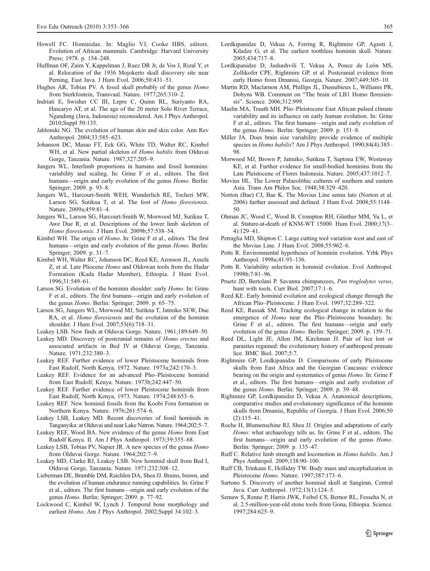- <span id="page-13-0"></span>Howell FC. Hominidae. In: Maglio VJ, Cooke HBS, editors. Evolution of African mammals. Cambridge: Harvard University Press; 1978. p. 154–248.
- Huffman OF, Zaim Y, Kappelman J, Ruez DR Jr, de Vos J, Rizal Y, et al. Relocation of the 1936 Mojokerto skull discovery site near Perning, East Java. J Hum Evol. 2006;50:431–51.
- Hughes AR, Tobias PV. A fossil skull probably of the genus Homo from Sterkfontein, Transvaal. Nature. 1977;265:310–2.
- Indriati E, Swisher CC III, Lepre C, Quinn RL, Suriyanto RA, Hascaryo AT, et al. The age of the 20 meter Solo River Terrace, Ngandong (Java, Indonesia) reconsidered. Am J Phys Anthropol. 2010;Suppl 50:135.
- Jablonski NG. The evolution of human skin and skin color. Ann Rev Anthropol. 2004;33:585–623.
- Johanson DC, Masao FT, Eck GG, White TD, Walter RC, Kimbel WH, et al. New partial skeleton of *Homo habilis* from Olduvai Gorge, Tanzania. Nature. 1987;327:205–9.
- Jungers WL. Interlimb proportions in humans and fossil hominins: variability and scaling. In: Grine F et al., editors. The first humans—origin and early evolution of the genus *Homo*. Berlin: Springer; 2009. p. 93–8.
- Jungers WL, Harcourt-Smith WEH, Wunderlich RE, Tocheri MW, Larson SG, Sutikna T, et al. The foot of Homo floresiensis. Nature. 2009a;459:81–4.
- Jungers WL, Larson SG, Harcourt-Smith W, Morwood MJ, Sutikna T, Awe Due R, et al. Descriptions of the lower limb skeleton of Homo floresiensis. J Hum Evol. 2009b;57:538–54.
- Kimbel WH. The origin of Homo. In: Grine F et al., editors. The first humans—origin and early evolution of the genus *Homo*. Berlin: Springer; 2009. p. 31–7.
- Kimbel WH, Walter RC, Johanson DC, Reed KE, Aronson JL, Assefa Z, et al. Late Pliocene Homo and Oldowan tools from the Hadar Formation (Kada Hadar Member), Ethiopia. J Hum Evol. 1996;31:549–61.
- Larson SG. Evolution of the hominin shoulder: early Homo. In: Grine F et al., editors. The first humans—origin and early evolution of the genus Homo. Berlin: Springer; 2009. p. 65–75.
- Larson SG, Jungers WL, Morwood MJ, Sutikna T, Jatmiko SEW, Due RA, et al. *Homo floresiensis* and the evolution of the hominin shoulder. J Hum Evol. 2007;53(6):718–31.
- Leakey LSB. New finds at Olduvai Gorge. Nature. 1961;189:649–50.
- Leakey MD. Discovery of postcranial remains of Homo erectus and associated artifacts in Bed IV at Olduvai Gorge, Tanzania. Nature. 1971;232:380–3.
- Leakey REF. Further evidence of lower Pleistocene hominids from East Rudolf, North Kenya, 1972. Nature. 1973a;242:170–3.
- Leakey REF. Evidence for an advanced Plio–Pleistocene hominid from East Rudolf, Kenya. Nature. 1973b;242:447–50.
- Leakey REF. Further evidence of lower Pleistocene hominids from East Rudolf, North Kenya, 1973. Nature. 1974;248:653–6.
- Leakey REF. New hominid fossils from the Koobi Fora formation in Northern Kenya. Nature. 1976;261:574–6.
- Leakey LSB, Leakey MD. Recent discoveries of fossil hominids in Tanganyika: at Olduvai and near Lake Natron. Nature. 1964;202:5–7.
- Leakey REF, Wood BA. New evidence of the genus Homo from East Rudolf Kenya. II. Am J Phys Anthropol. 1973;39:355–68.
- Leakey LSB, Tobias PV, Napier JR. A new species of the genus Homo from Olduvai Gorge. Nature. 1964;202:7–9.
- Leakey MD, Clarke RJ, Leakey LSB. New hominid skull from Bed I, Olduvai Gorge, Tanzania. Nature. 1971;232:308–12.
- Lieberman DE, Bramble DM, Raichlen DA, Shea JJ. Brains, brawn, and the evolution of human endurance running capabilities. In: Grine F et al., editors. The first humans—origin and early evolution of the genus Homo. Berlin: Springer; 2009. p. 77–92.
- Lockwood C, Kimbel W, Lynch J. Temporal bone morphology and earliest Homo. Am J Phys Anthropol. 2002;Suppl 34:102–3.
- Lordkipanidze D, Vekua A, Ferring R, Rightmire GP, Agusti J, Kiladze G, et al. The earliest toothless hominin skull. Nature. 2005;434:717–8.
- Lordkipanidze D, Jashashvili T, Vekua A, Ponce de León MS, Zollikofer CPE, Rightmire GP, et al. Postcranial evidence from early Homo from Dmanisi, Georgia. Nature. 2007;449:305–10.
- Martin RD, Maclarnon AM, Phillips JL, Dussubieux L, Williams PR, Dobyns WB. Comment on "The brain of LB1 Homo floresiensis". Science. 2006;312:999.
- Maslin MA, Trauth MH. Plio–Pleistocene East African pulsed climate variability and its influence on early human evolution. In: Grine F et al., editors. The first humans—origin and early evolution of the genus Homo. Berlin: Springer; 2009. p. 151–8.
- Miller JA. Does brain size variability provide evidence of multiple species in *Homo habilis*? Am J Phys Anthropol. 1990;84(4):385– 98.
- Morwood MJ, Brown P, Jatmiko, Sutikna T, Saptona EW, Westaway KE, et al. Further evidence for small-bodied hominins from the Late Pleistocene of Flores Indonesia. Nature. 2005;437:1012–7.
- Movius HL. The Lower Palaeolithic cultures of southern and eastern Asia. Trans Am Philos Soc. 1948;38:329–420.
- Norton (Bae) CJ, Bae K. The Movius Line sensu lato (Norton et al. 2006) further assessed and defined. J Hum Evol. 2008;55:1148– 50.
- Ohman JC, Wood C, Wood B, Crompton RH, Günther MM, Yu L, et al. Stature-at-death of KNM-WT 15000. Hum Evol. 2000;17(3– 4):129–41.
- Petraglia MD, Shipton C. Large cutting tool variation west and east of the Movius Line. J Hum Evol. 2008;55:962–6.
- Potts R. Environmental hypotheses of hominin evolution. Yrbk Phys Anthropol. 1998a;41:93–136.
- Potts R. Variability selection in hominid evolution. Evol Anthropol. 1998b;7:81–96.
- Pruetz JD, Bertolani P. Savanna chimpanzees, Pan troglodytes verus, hunt with tools. Curr Biol. 2007;17:1–6.
- Reed KE. Early hominid evolution and ecological change through the African Plio–Pleistocene. J Hum Evol. 1997;32:289–322.
- Reed KE, Russak SM. Tracking ecological change in relation to the emergence of Homo near the Plio–Pleistocene boundary. In: Grine F et al., editors. The first humans—origin and early evolution of the genus Homo. Berlin: Springer; 2009. p. 159–71.
- Reed DL, Light JE, Allen JM, Kirchman JJ. Pair of lice lost or parasites regained: the evolutionary history of anthropoid primate lice. BMC Biol. 2007;5:7.
- Rightmire GP, Lordkipanidze D. Comparisons of early Pleistocene skulls from East Africa and the Georgian Caucasus: evidence bearing on the origin and systematics of genus Homo. In: Grine F et al., editors. The first humans—origin and early evolution of the genus Homo. Berlin: Springer; 2009. p. 39–48.
- Rightmire GP, Lordkipanidze D, Vekua A. Anatomical descriptions, comparative studies and evolutionary significance of the hominin skulls from Dmanisi, Republic of Georgia. J Hum Evol. 2006;50 (2):115–41.
- Roche H, Blumenschine RJ, Shea JJ. Origins and adaptations of early Homo: what archaeology tells us. In: Grine F et al., editors. The first humans—origin and early evolution of the genus Homo. Berlin: Springer; 2009. p. 135–47.
- Ruff C. Relative limb strength and locomotion in Homo habilis. Am J Phys Anthropol. 2009;138:90–100.
- Ruff CB, Trinkaus E, Holliday TW. Body mass and encephalization in Pleistocene Homo. Nature. 1997;387:173–6.
- Sartono S. Discovery of another hominid skull at Sangiran, Central Java. Curr Anthropol. 1972;13(1):124–5.
- Semaw S, Renne P, Harris JWK, Feibel CS, Bernor RL, Fesseha N, et al. 2.5-million-year-old stone tools from Gona, Ethiopia. Science. 1997;284:625–9.